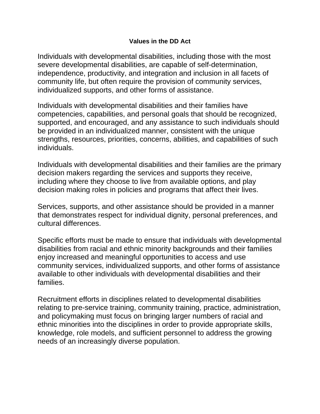## **Values in the DD Act**

Individuals with developmental disabilities, including those with the most severe developmental disabilities, are capable of self-determination, independence, productivity, and integration and inclusion in all facets of community life, but often require the provision of community services, individualized supports, and other forms of assistance.

Individuals with developmental disabilities and their families have competencies, capabilities, and personal goals that should be recognized, supported, and encouraged, and any assistance to such individuals should be provided in an individualized manner, consistent with the unique strengths, resources, priorities, concerns, abilities, and capabilities of such individuals.

Individuals with developmental disabilities and their families are the primary decision makers regarding the services and supports they receive, including where they choose to live from available options, and play decision making roles in policies and programs that affect their lives.

Services, supports, and other assistance should be provided in a manner that demonstrates respect for individual dignity, personal preferences, and cultural differences.

Specific efforts must be made to ensure that individuals with developmental disabilities from racial and ethnic minority backgrounds and their families enjoy increased and meaningful opportunities to access and use community services, individualized supports, and other forms of assistance available to other individuals with developmental disabilities and their families.

Recruitment efforts in disciplines related to developmental disabilities relating to pre-service training, community training, practice, administration, and policymaking must focus on bringing larger numbers of racial and ethnic minorities into the disciplines in order to provide appropriate skills, knowledge, role models, and sufficient personnel to address the growing needs of an increasingly diverse population.